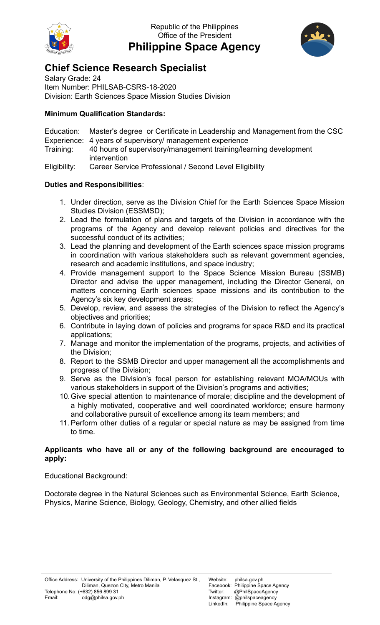

Republic of the Philippines Office of the President **Philippine Space Agency**



## **Chief Science Research Specialist**

Salary Grade: 24 Item Number: PHILSAB-CSRS-18-2020 Division: Earth Sciences Space Mission Studies Division

## **Minimum Qualification Standards:**

Education: Master's degree or Certificate in Leadership and Management from the CSC Experience: 4 years of supervisory/ management experience Training: 40 hours of supervisory/management training/learning development intervention

Eligibility: Career Service Professional / Second Level Eligibility

## **Duties and Responsibilities**:

- 1. Under direction, serve as the Division Chief for the Earth Sciences Space Mission Studies Division (ESSMSD);
- 2. Lead the formulation of plans and targets of the Division in accordance with the programs of the Agency and develop relevant policies and directives for the successful conduct of its activities;
- 3. Lead the planning and development of the Earth sciences space mission programs in coordination with various stakeholders such as relevant government agencies, research and academic institutions, and space industry;
- 4. Provide management support to the Space Science Mission Bureau (SSMB) Director and advise the upper management, including the Director General, on matters concerning Earth sciences space missions and its contribution to the Agency's six key development areas;
- 5. Develop, review, and assess the strategies of the Division to reflect the Agency's objectives and priorities;
- 6. Contribute in laying down of policies and programs for space R&D and its practical applications;
- 7. Manage and monitor the implementation of the programs, projects, and activities of the Division;
- 8. Report to the SSMB Director and upper management all the accomplishments and progress of the Division;
- 9. Serve as the Division's focal person for establishing relevant MOA/MOUs with various stakeholders in support of the Division's programs and activities;
- 10.Give special attention to maintenance of morale; discipline and the development of a highly motivated, cooperative and well coordinated workforce; ensure harmony and collaborative pursuit of excellence among its team members; and
- 11. Perform other duties of a regular or special nature as may be assigned from time to time.

## **Applicants who have all or any of the following background are encouraged to apply:**

Educational Background:

Doctorate degree in the Natural Sciences such as Environmental Science, Earth Science, Physics, Marine Science, Biology, Geology, Chemistry, and other allied fields